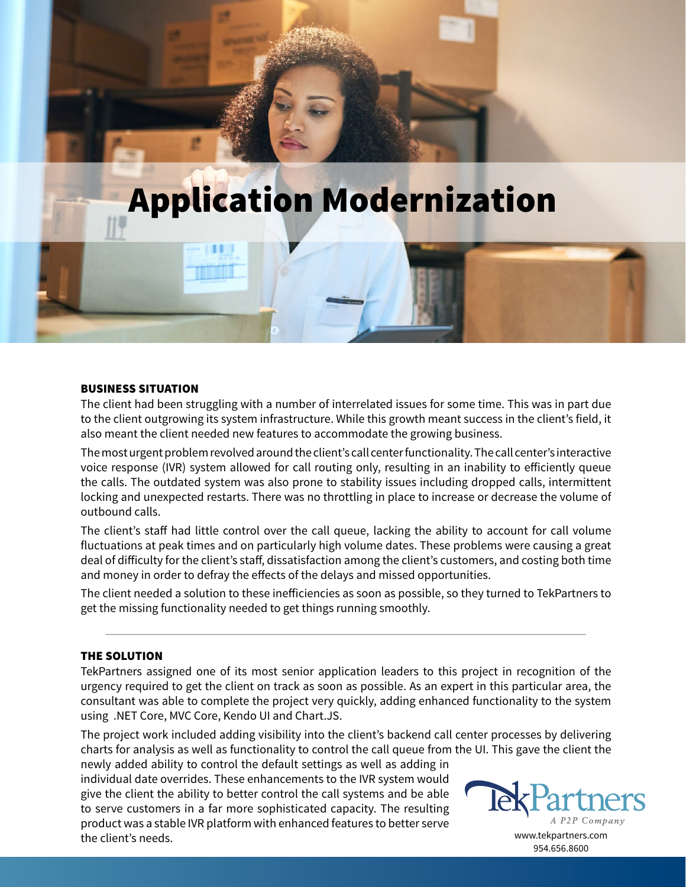

# Application Modernization

## BUSINESS SITUATION

The client had been struggling with a number of interrelated issues for some time. This was in part due to the client outgrowing its system infrastructure. While this growth meant success in the client's field, it also meant the client needed new features to accommodate the growing business.

The most urgent problem revolved around the client's call center functionality. The call center's interactive voice response (IVR) system allowed for call routing only, resulting in an inability to efficiently queue the calls. The outdated system was also prone to stability issues including dropped calls, intermittent locking and unexpected restarts. There was no throttling in place to increase or decrease the volume of outbound calls.

The client's staff had little control over the call queue, lacking the ability to account for call volume fluctuations at peak times and on particularly high volume dates. These problems were causing a great deal of difficulty for the client's staff, dissatisfaction among the client's customers, and costing both time and money in order to defray the effects of the delays and missed opportunities.

The client needed a solution to these inefficiencies as soon as possible, so they turned to TekPartners to get the missing functionality needed to get things running smoothly.

## THE SOLUTION

TekPartners assigned one of its most senior application leaders to this project in recognition of the urgency required to get the client on track as soon as possible. As an expert in this particular area, the consultant was able to complete the project very quickly, adding enhanced functionality to the system using .NET Core, MVC Core, Kendo UI and Chart.JS.

The project work included adding visibility into the client's backend call center processes by delivering charts for analysis as well as functionality to control the call queue from the UI. This gave the client the

newly added ability to control the default settings as well as adding in individual date overrides. These enhancements to the IVR system would give the client the ability to better control the call systems and be able to serve customers in a far more sophisticated capacity. The resulting product was a stable IVR platform with enhanced features to better serve the client's needs.



www.tekpartners.com 954.656.8600